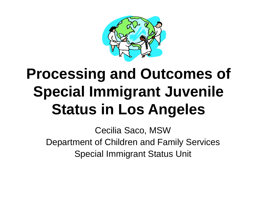

#### **Processing and Outcomes of Special Immigrant Juvenile Status in Los Angeles**

Cecilia Saco, MSW Department of Children and Family Services Special Immigrant Status Unit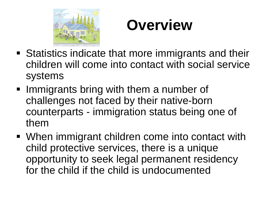

#### **Overview**

- Statistics indicate that more immigrants and their children will come into contact with social service systems
- **Immigrants bring with them a number of** challenges not faced by their native-born counterparts - immigration status being one of them
- When immigrant children come into contact with child protective services, there is a unique opportunity to seek legal permanent residency for the child if the child is undocumented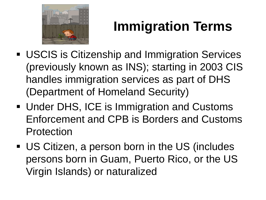

#### **Immigration Terms**

- USCIS is Citizenship and Immigration Services (previously known as INS); starting in 2003 CIS handles immigration services as part of DHS (Department of Homeland Security)
- **Under DHS, ICE is Immigration and Customs** Enforcement and CPB is Borders and Customs Protection
- US Citizen, a person born in the US (includes persons born in Guam, Puerto Rico, or the US Virgin Islands) or naturalized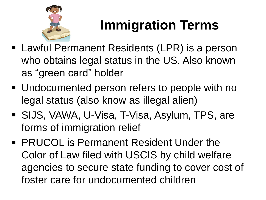

#### **Immigration Terms**

- Lawful Permanent Residents (LPR) is a person who obtains legal status in the US. Also known as "green card" holder
- Undocumented person refers to people with no legal status (also know as illegal alien)
- SIJS, VAWA, U-Visa, T-Visa, Asylum, TPS, are forms of immigration relief
- **PRUCOL is Permanent Resident Under the** Color of Law filed with USCIS by child welfare agencies to secure state funding to cover cost of foster care for undocumented children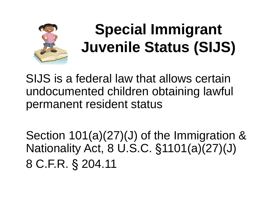

#### **Special Immigrant Juvenile Status (SIJS)**

SIJS is a federal law that allows certain undocumented children obtaining lawful permanent resident status

Section 101(a)(27)(J) of the Immigration & Nationality Act, 8 U.S.C. §1101(a)(27)(J) 8 C.F.R. § 204.11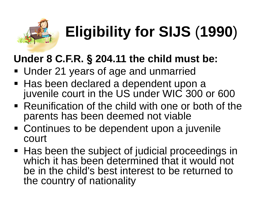

# **Eligibility for SIJS** (**1990**)

#### **Under 8 C.F.R. § 204.11 the child must be:**

- **Under 21 years of age and unmarried**
- Has been declared a dependent upon a juvenile court in the US under WIC 300 or 600
- Reunification of the child with one or both of the parents has been deemed not viable
- Continues to be dependent upon a juvenile court
- Has been the subject of judicial proceedings in which it has been determined that it would not be in the child's best interest to be returned to the country of nationality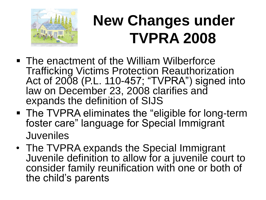

#### **New Changes under TVPRA 2008**

- The enactment of the William Wilberforce Trafficking Victims Protection Reauthorization Act of 2008 (P.L. 110-457; "TVPRA") signed into law on December 23, 2008 clarifies and expands the definition of SIJS
- **The TVPRA eliminates the "eligible for long-term"** foster care" language for Special Immigrant Juveniles
- The TVPRA expands the Special Immigrant Juvenile definition to allow for a juvenile court to consider family reunification with one or both of the child's parents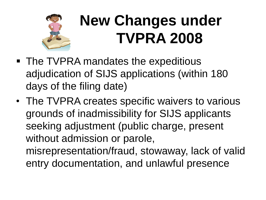

#### **New Changes under TVPRA 2008**

- The TVPRA mandates the expeditious adjudication of SIJS applications (within 180 days of the filing date)
- The TVPRA creates specific waivers to various grounds of inadmissibility for SIJS applicants seeking adjustment (public charge, present without admission or parole, misrepresentation/fraud, stowaway, lack of valid entry documentation, and unlawful presence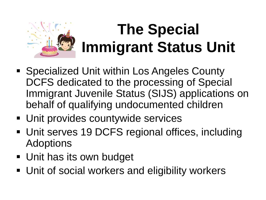

#### **The Special Immigrant Status Unit**

- Specialized Unit within Los Angeles County DCFS dedicated to the processing of Special Immigrant Juvenile Status (SIJS) applications on behalf of qualifying undocumented children
- **Unit provides countywide services**
- Unit serves 19 DCFS regional offices, including Adoptions
- **Unit has its own budget**
- **Unit of social workers and eligibility workers**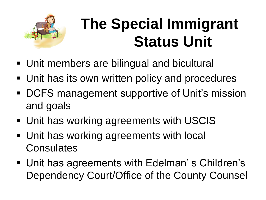

#### **The Special Immigrant Status Unit**

- Unit members are bilingual and bicultural
- **Unit has its own written policy and procedures**
- DCFS management supportive of Unit's mission and goals
- Unit has working agreements with USCIS
- **Unit has working agreements with local Consulates**
- Unit has agreements with Edelman's Children's Dependency Court/Office of the County Counsel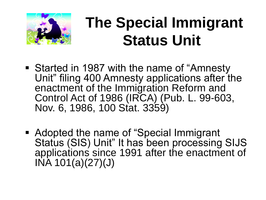

#### **The Special Immigrant Status Unit**

- Started in 1987 with the name of "Amnesty Unit" filing 400 Amnesty applications after the enactment of the Immigration Reform and Control Act of 1986 (IRCA) (Pub. L. 99-603, Nov. 6, 1986, 100 Stat. 3359)
- Adopted the name of "Special Immigrant Status (SIS) Unit" It has been processing SIJS applications since 1991 after the enactment of INA 101(a)(27)(J)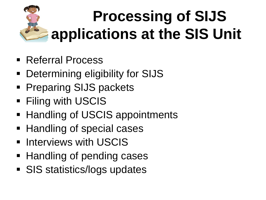# **Processing of SIJS applications at the SIS Unit**

- Referral Process
- **Determining eligibility for SIJS**
- **Preparing SIJS packets**
- **Filing with USCIS**
- Handling of USCIS appointments
- Handling of special cases
- **E** Interviews with USCIS
- Handling of pending cases
- **SIS statistics/logs updates**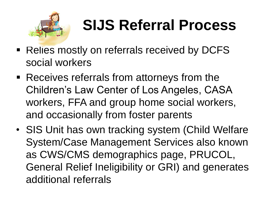

### **SIJS Referral Process**

- Relies mostly on referrals received by DCFS social workers
- Receives referrals from attorneys from the Children's Law Center of Los Angeles, CASA workers, FFA and group home social workers, and occasionally from foster parents
- SIS Unit has own tracking system (Child Welfare System/Case Management Services also known as CWS/CMS demographics page, PRUCOL, General Relief Ineligibility or GRI) and generates additional referrals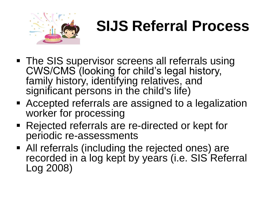

#### **SIJS Referral Process**

- The SIS supervisor screens all referrals using CWS/CMS (looking for child's legal history, family history, identifying relatives, and significant persons in the child's life)
- Accepted referrals are assigned to a legalization worker for processing
- Rejected referrals are re-directed or kept for periodic re-assessments
- All referrals (including the rejected ones) are recorded in a log kept by years (i.e. SIS Referral Log 2008)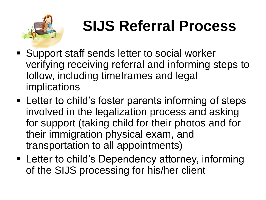

### **SIJS Referral Process**

- Support staff sends letter to social worker verifying receiving referral and informing steps to follow, including timeframes and legal implications
- **EXA** Letter to child's foster parents informing of steps involved in the legalization process and asking for support (taking child for their photos and for their immigration physical exam, and transportation to all appointments)
- Letter to child's Dependency attorney, informing of the SIJS processing for his/her client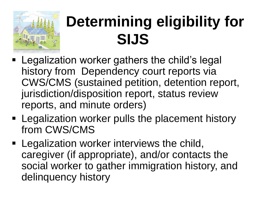

#### **Determining eligibility for SIJS**

- Legalization worker gathers the child's legal history from Dependency court reports via CWS/CMS (sustained petition, detention report, jurisdiction/disposition report, status review reports, and minute orders)
- **Example 2** Legalization worker pulls the placement history from CWS/CMS
- **Legalization worker interviews the child,** caregiver (if appropriate), and/or contacts the social worker to gather immigration history, and delinquency history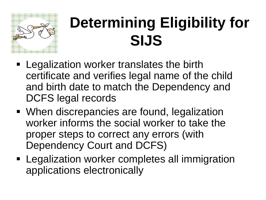

#### **Determining Eligibility for SIJS**

- **Legalization worker translates the birth** certificate and verifies legal name of the child and birth date to match the Dependency and DCFS legal records
- When discrepancies are found, legalization worker informs the social worker to take the proper steps to correct any errors (with Dependency Court and DCFS)
- **Legalization worker completes all immigration** applications electronically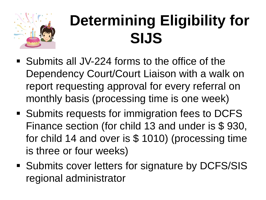

#### **Determining Eligibility for SIJS**

- Submits all JV-224 forms to the office of the Dependency Court/Court Liaison with a walk on report requesting approval for every referral on monthly basis (processing time is one week)
- Submits requests for immigration fees to DCFS Finance section (for child 13 and under is \$ 930, for child 14 and over is \$ 1010) (processing time is three or four weeks)
- Submits cover letters for signature by DCFS/SIS regional administrator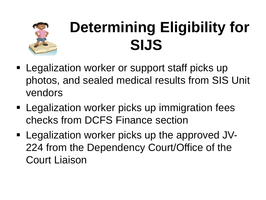

#### **Determining Eligibility for SIJS**

- **Legalization worker or support staff picks up** photos, and sealed medical results from SIS Unit vendors
- **Example 2** Legalization worker picks up immigration fees checks from DCFS Finance section
- **Legalization worker picks up the approved JV-**224 from the Dependency Court/Office of the Court Liaison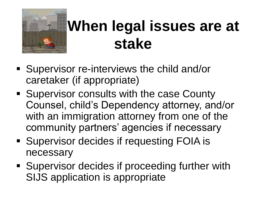

#### **When legal issues are at stake**

- Supervisor re-interviews the child and/or caretaker (if appropriate)
- **Supervisor consults with the case County** Counsel, child's Dependency attorney, and/or with an immigration attorney from one of the community partners' agencies if necessary
- **Supervisor decides if requesting FOIA is** necessary
- **Supervisor decides if proceeding further with** SIJS application is appropriate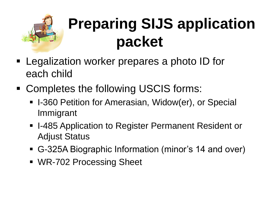

### **Preparing SIJS application packet**

- **Legalization worker prepares a photo ID for** each child
- Completes the following USCIS forms:
	- **I-360 Petition for Amerasian, Widow(er), or Special** Immigrant
	- I-485 Application to Register Permanent Resident or Adjust Status
	- G-325A Biographic Information (minor's 14 and over)
	- WR-702 Processing Sheet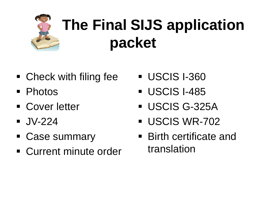# **The Final SIJS application packet**

- Check with filing fee
- **Photos**
- **Cover letter**
- $\blacksquare$  JV-224
- Case summary
- **Current minute order**
- **USCIS 1-360**
- **USCIS I-485**
- USCIS G-325A
- **USCIS WR-702**
- Birth certificate and translation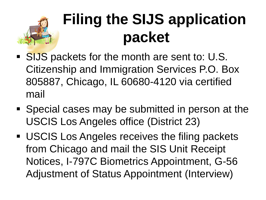#### **Filing the SIJS application packet**

- SIJS packets for the month are sent to: U.S. Citizenship and Immigration Services P.O. Box 805887, Chicago, IL 60680-4120 via certified mail
- Special cases may be submitted in person at the USCIS Los Angeles office (District 23)
- USCIS Los Angeles receives the filing packets from Chicago and mail the SIS Unit Receipt Notices, I-797C Biometrics Appointment, G-56 Adjustment of Status Appointment (Interview)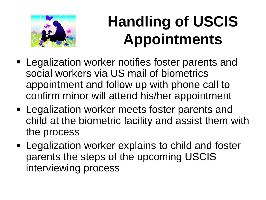

#### **Handling of USCIS Appointments**

- **Legalization worker notifies foster parents and** social workers via US mail of biometrics appointment and follow up with phone call to confirm minor will attend his/her appointment
- **Legalization worker meets foster parents and** child at the biometric facility and assist them with the process
- **Example 2** Legalization worker explains to child and foster parents the steps of the upcoming USCIS interviewing process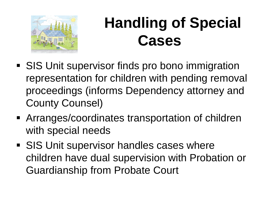

#### **Handling of Special Cases**

- **SIS Unit supervisor finds pro bono immigration** representation for children with pending removal proceedings (informs Dependency attorney and County Counsel)
- Arranges/coordinates transportation of children with special needs
- **SIS Unit supervisor handles cases where** children have dual supervision with Probation or Guardianship from Probate Court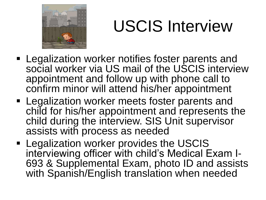

## USCIS Interview

- **Legalization worker notifies foster parents and** social worker via US mail of the USCIS interview appointment and follow up with phone call to confirm minor will attend his/her appointment
- **Legalization worker meets foster parents and** child for his/her appointment and represents the child during the interview. SIS Unit supervisor assists with process as needed
- **Example 2 Legalization worker provides the USCIS** interviewing officer with child's Medical Exam I-693 & Supplemental Exam, photo ID and assists with Spanish/English translation when needed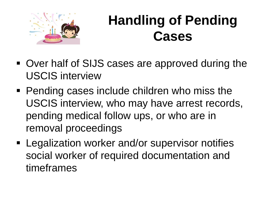

#### **Handling of Pending Cases**

- Over half of SIJS cases are approved during the USCIS interview
- **Pending cases include children who miss the** USCIS interview, who may have arrest records, pending medical follow ups, or who are in removal proceedings
- **Legalization worker and/or supervisor notifies** social worker of required documentation and timeframes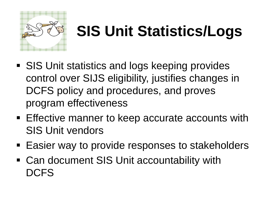

#### **SIS Unit Statistics/Logs**

- SIS Unit statistics and logs keeping provides control over SIJS eligibility, justifies changes in DCFS policy and procedures, and proves program effectiveness
- **Effective manner to keep accurate accounts with** SIS Unit vendors
- Easier way to provide responses to stakeholders
- Can document SIS Unit accountability with **DCFS**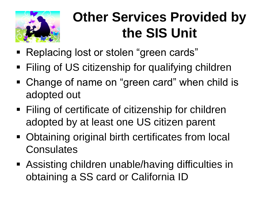

#### **Other Services Provided by the SIS Unit**

- Replacing lost or stolen "green cards"
- Filing of US citizenship for qualifying children
- Change of name on "green card" when child is adopted out
- Filing of certificate of citizenship for children adopted by at least one US citizen parent
- Obtaining original birth certificates from local **Consulates**
- Assisting children unable/having difficulties in obtaining a SS card or California ID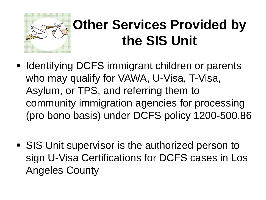

#### **Other Services Provided by the SIS Unit**

- **If Identifying DCFS immigrant children or parents** who may qualify for VAWA, U-Visa, T-Visa, Asylum, or TPS, and referring them to community immigration agencies for processing (pro bono basis) under DCFS policy 1200-500.86
- SIS Unit supervisor is the authorized person to sign U-Visa Certifications for DCFS cases in Los Angeles County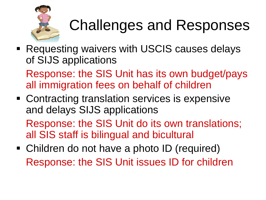

**Requesting waivers with USCIS causes delays** of SIJS applications

Response: the SIS Unit has its own budget/pays all immigration fees on behalf of children

■ Contracting translation services is expensive and delays SIJS applications

Response: the SIS Unit do its own translations; all SIS staff is bilingual and bicultural

• Children do not have a photo ID (required) Response: the SIS Unit issues ID for children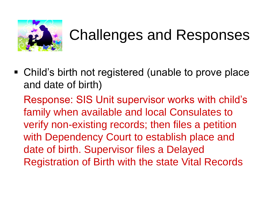

 Child's birth not registered (unable to prove place and date of birth)

Response: SIS Unit supervisor works with child's family when available and local Consulates to verify non-existing records; then files a petition with Dependency Court to establish place and date of birth. Supervisor files a Delayed Registration of Birth with the state Vital Records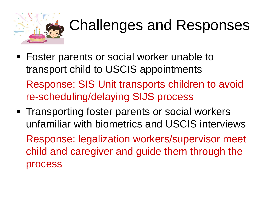

- Foster parents or social worker unable to transport child to USCIS appointments Response: SIS Unit transports children to avoid re-scheduling/delaying SIJS process
- **Transporting foster parents or social workers** unfamiliar with biometrics and USCIS interviews Response: legalization workers/supervisor meet child and caregiver and guide them through the process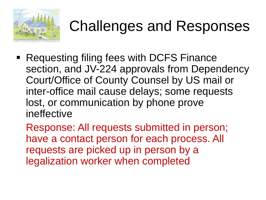

- Requesting filing fees with DCFS Finance section, and JV-224 approvals from Dependency Court/Office of County Counsel by US mail or inter-office mail cause delays; some requests lost, or communication by phone prove ineffective
	- Response: All requests submitted in person; have a contact person for each process. All requests are picked up in person by a legalization worker when completed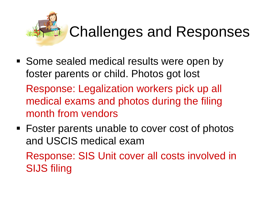

■ Some sealed medical results were open by foster parents or child. Photos got lost

Response: Legalization workers pick up all medical exams and photos during the filing month from vendors

■ Foster parents unable to cover cost of photos and USCIS medical exam

Response: SIS Unit cover all costs involved in SIJS filing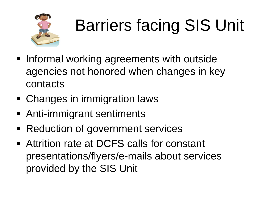

# Barriers facing SIS Unit

- **Informal working agreements with outside** agencies not honored when changes in key contacts
- Changes in immigration laws
- Anti-immigrant sentiments
- Reduction of government services
- Attrition rate at DCFS calls for constant presentations/flyers/e-mails about services provided by the SIS Unit